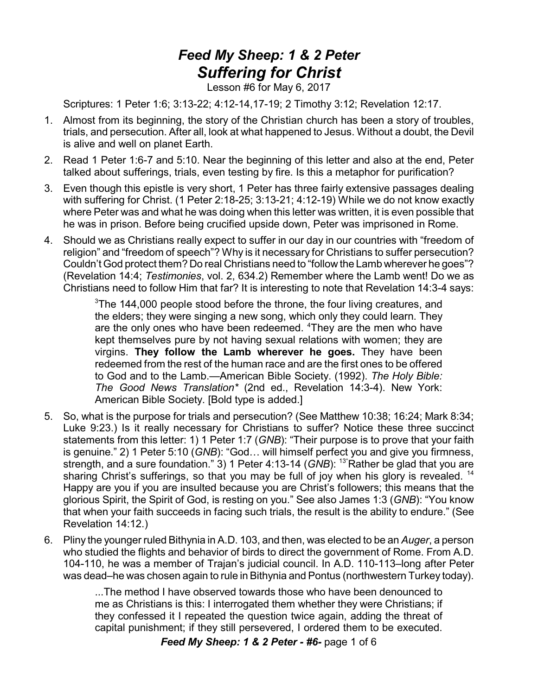## *Feed My Sheep: 1 & 2 Peter Suffering for Christ*

Lesson #6 for May 6, 2017

Scriptures: 1 Peter 1:6; 3:13-22; 4:12-14,17-19; 2 Timothy 3:12; Revelation 12:17.

- 1. Almost from its beginning, the story of the Christian church has been a story of troubles, trials, and persecution. After all, look at what happened to Jesus. Without a doubt, the Devil is alive and well on planet Earth.
- 2. Read 1 Peter 1:6-7 and 5:10. Near the beginning of this letter and also at the end, Peter talked about sufferings, trials, even testing by fire. Is this a metaphor for purification?
- 3. Even though this epistle is very short, 1 Peter has three fairly extensive passages dealing with suffering for Christ. (1 Peter 2:18-25; 3:13-21; 4:12-19) While we do not know exactly where Peter was and what he was doing when this letter was written, it is even possible that he was in prison. Before being crucified upside down, Peter was imprisoned in Rome.
- 4. Should we as Christians really expect to suffer in our day in our countries with "freedom of religion" and "freedom of speech"? Why is it necessary for Christians to suffer persecution? Couldn't God protect them? Do real Christians need to "follow the Lamb wherever he goes"? (Revelation 14:4; *Testimonies*, vol. 2, 634.2) Remember where the Lamb went! Do we as Christians need to follow Him that far? It is interesting to note that Revelation 14:3-4 says:

 $3$ The 144,000 people stood before the throne, the four living creatures, and the elders; they were singing a new song, which only they could learn. They are the only ones who have been redeemed. <sup>4</sup>They are the men who have kept themselves pure by not having sexual relations with women; they are virgins. **They follow the Lamb wherever he goes.** They have been redeemed from the rest of the human race and are the first ones to be offered to God and to the Lamb.—American Bible Society. (1992). *The Holy Bible: The Good News Translation\** (2nd ed., Revelation 14:3-4). New York: American Bible Society. [Bold type is added.]

- 5. So, what is the purpose for trials and persecution? (See Matthew 10:38; 16:24; Mark 8:34; Luke 9:23.) Is it really necessary for Christians to suffer? Notice these three succinct statements from this letter: 1) 1 Peter 1:7 (*GNB*): "Their purpose is to prove that your faith is genuine." 2) 1 Peter 5:10 (*GNB*): "God… will himself perfect you and give you firmness, strength, and a sure foundation." 3) 1 Peter 4:13-14 (*GNB*): <sup>13</sup>"Rather be glad that you are sharing Christ's sufferings, so that you may be full of joy when his glory is revealed. <sup>14</sup> Happy are you if you are insulted because you are Christ's followers; this means that the glorious Spirit, the Spirit of God, is resting on you." See also James 1:3 (*GNB*): "You know that when your faith succeeds in facing such trials, the result is the ability to endure." (See Revelation 14:12.)
- 6. Pliny the younger ruled Bithynia in A.D. 103, and then, was elected to be an *Auger*, a person who studied the flights and behavior of birds to direct the government of Rome. From A.D. 104-110, he was a member of Trajan's judicial council. In A.D. 110-113–long after Peter was dead–he was chosen again to rule in Bithynia and Pontus (northwestern Turkey today).

...The method I have observed towards those who have been denounced to me as Christians is this: I interrogated them whether they were Christians; if they confessed it I repeated the question twice again, adding the threat of capital punishment; if they still persevered, I ordered them to be executed.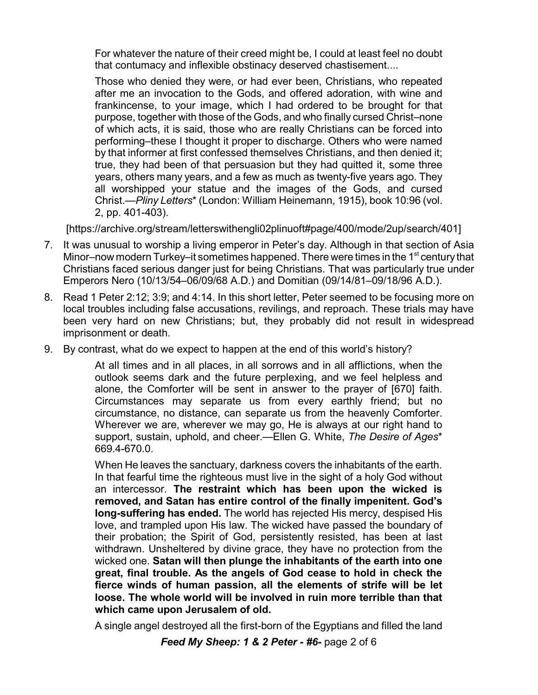For whatever the nature of their creed might be, I could at least feel no doubt that contumacy and inflexible obstinacy deserved chastisement....

Those who denied they were, or had ever been, Christians, who repeated after me an invocation to the Gods, and offered adoration, with wine and frankincense, to your image, which I had ordered to be brought for that purpose, together with those of the Gods, and who finally cursed Christ–none of which acts, it is said, those who are really Christians can be forced into performing–these I thought it proper to discharge. Others who were named by that informer at first confessed themselves Christians, and then denied it; true, they had been of that persuasion but they had quitted it, some three years, others many years, and a few as much as twenty-five years ago. They all worshipped your statue and the images of the Gods, and cursed Christ.—*Pliny Letters*\* (London: William Heinemann, 1915), book 10:96 (vol. 2, pp. 401-403).

[https://archive.org/stream/letterswithengli02plinuoft#page/400/mode/2up/search/401]

- 7. It was unusual to worship a living emperor in Peter's day. Although in that section of Asia Minor–now modern Turkey–it sometimes happened. There were times in the 1<sup>st</sup> century that Christians faced serious danger just for being Christians. That was particularly true under Emperors Nero (10/13/54–06/09/68 A.D.) and Domitian (09/14/81–09/18/96 A.D.).
- 8. Read 1 Peter 2:12; 3:9; and 4:14. In this short letter, Peter seemed to be focusing more on local troubles including false accusations, revilings, and reproach. These trials may have been very hard on new Christians; but, they probably did not result in widespread imprisonment or death.
- 9. By contrast, what do we expect to happen at the end of this world's history?

At all times and in all places, in all sorrows and in all afflictions, when the outlook seems dark and the future perplexing, and we feel helpless and alone, the Comforter will be sent in answer to the prayer of [670] faith. Circumstances may separate us from every earthly friend; but no circumstance, no distance, can separate us from the heavenly Comforter. Wherever we are, wherever we may go, He is always at our right hand to support, sustain, uphold, and cheer.—Ellen G. White, *The Desire of Ages*\* 669.4-670.0.

When He leaves the sanctuary, darkness covers the inhabitants of the earth. In that fearful time the righteous must live in the sight of a holy God without an intercessor. **The restraint which has been upon the wicked is removed, and Satan has entire control of the finally impenitent. God's long-suffering has ended.** The world has rejected His mercy, despised His love, and trampled upon His law. The wicked have passed the boundary of their probation; the Spirit of God, persistently resisted, has been at last withdrawn. Unsheltered by divine grace, they have no protection from the wicked one. **Satan will then plunge the inhabitants of the earth into one great, final trouble. As the angels of God cease to hold in check the fierce winds of human passion, all the elements of strife will be let loose. The whole world will be involved in ruin more terrible than that which came upon Jerusalem of old.**

A single angel destroyed all the first-born of the Egyptians and filled the land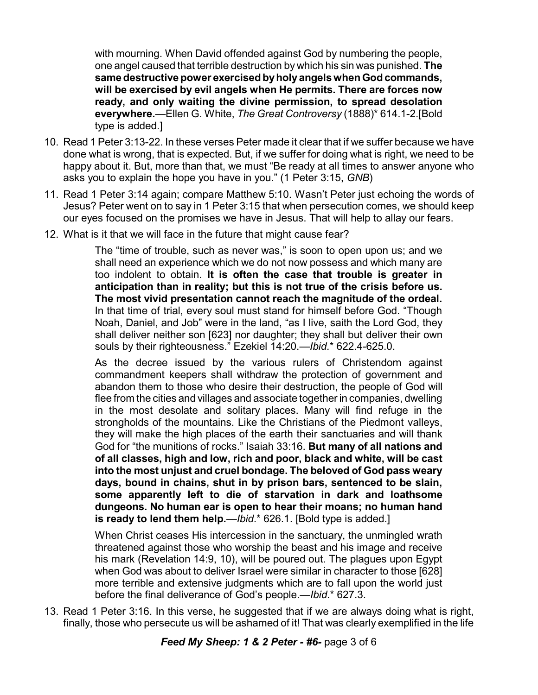with mourning. When David offended against God by numbering the people, one angel caused that terrible destruction by which his sin was punished. **The same destructive power exercisedbyholyangels whenGodcommands, will be exercised by evil angels when He permits. There are forces now ready, and only waiting the divine permission, to spread desolation everywhere.**—Ellen G. White, *The Great Controversy* (1888)\* 614.1-2.[Bold type is added.]

- 10. Read 1 Peter 3:13-22. In these verses Peter made it clear that if we suffer because we have done what is wrong, that is expected. But, if we suffer for doing what is right, we need to be happy about it. But, more than that, we must "Be ready at all times to answer anyone who asks you to explain the hope you have in you." (1 Peter 3:15, *GNB*)
- 11. Read 1 Peter 3:14 again; compare Matthew 5:10. Wasn't Peter just echoing the words of Jesus? Peter went on to say in 1 Peter 3:15 that when persecution comes, we should keep our eyes focused on the promises we have in Jesus. That will help to allay our fears.
- 12. What is it that we will face in the future that might cause fear?

The "time of trouble, such as never was," is soon to open upon us; and we shall need an experience which we do not now possess and which many are too indolent to obtain. **It is often the case that trouble is greater in anticipation than in reality; but this is not true of the crisis before us. The most vivid presentation cannot reach the magnitude of the ordeal.** In that time of trial, every soul must stand for himself before God. "Though Noah, Daniel, and Job" were in the land, "as I live, saith the Lord God, they shall deliver neither son [623] nor daughter; they shall but deliver their own souls by their righteousness." Ezekiel 14:20.—*Ibid*.\* 622.4-625.0.

As the decree issued by the various rulers of Christendom against commandment keepers shall withdraw the protection of government and abandon them to those who desire their destruction, the people of God will flee from the cities and villages and associate together in companies, dwelling in the most desolate and solitary places. Many will find refuge in the strongholds of the mountains. Like the Christians of the Piedmont valleys, they will make the high places of the earth their sanctuaries and will thank God for "the munitions of rocks." Isaiah 33:16. **But many of all nations and of all classes, high and low, rich and poor, black and white, will be cast into the most unjust and cruel bondage. The beloved of God pass weary days, bound in chains, shut in by prison bars, sentenced to be slain, some apparently left to die of starvation in dark and loathsome dungeons. No human ear is open to hear their moans; no human hand is ready to lend them help.**—*Ibid*.\* 626.1. [Bold type is added.]

When Christ ceases His intercession in the sanctuary, the unmingled wrath threatened against those who worship the beast and his image and receive his mark (Revelation 14:9, 10), will be poured out. The plagues upon Egypt when God was about to deliver Israel were similar in character to those [628] more terrible and extensive judgments which are to fall upon the world just before the final deliverance of God's people.—*Ibid*.\* 627.3.

13. Read 1 Peter 3:16. In this verse, he suggested that if we are always doing what is right, finally, those who persecute us will be ashamed of it! That was clearly exemplified in the life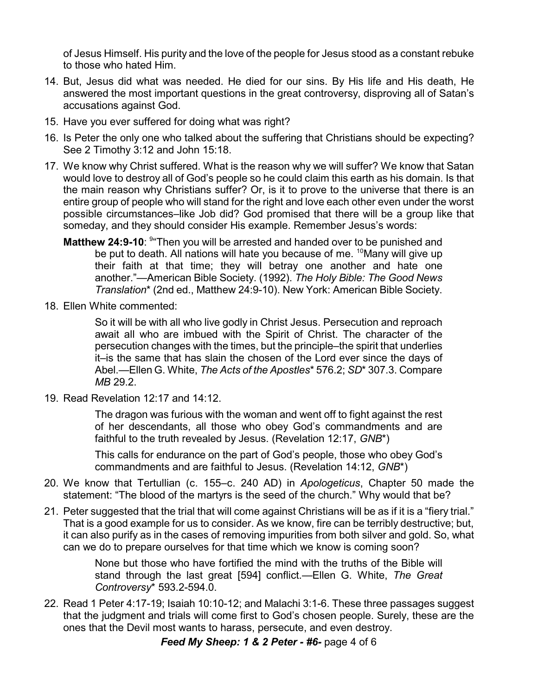of Jesus Himself. His purity and the love of the people for Jesus stood as a constant rebuke to those who hated Him.

- 14. But, Jesus did what was needed. He died for our sins. By His life and His death, He answered the most important questions in the great controversy, disproving all of Satan's accusations against God.
- 15. Have you ever suffered for doing what was right?
- 16. Is Peter the only one who talked about the suffering that Christians should be expecting? See 2 Timothy 3:12 and John 15:18.
- 17. We know why Christ suffered. What is the reason why we will suffer? We know that Satan would love to destroy all of God's people so he could claim this earth as his domain. Is that the main reason why Christians suffer? Or, is it to prove to the universe that there is an entire group of people who will stand for the right and love each other even under the worst possible circumstances–like Job did? God promised that there will be a group like that someday, and they should consider His example. Remember Jesus's words:
	- **Matthew 24:9-10**: <sup>9</sup> Then you will be arrested and handed over to be punished and be put to death. All nations will hate you because of me. <sup>10</sup>Many will give up their faith at that time; they will betray one another and hate one another."—American Bible Society. (1992). *The Holy Bible: The Good News Translation*\* (2nd ed., Matthew 24:9-10). New York: American Bible Society.
- 18. Ellen White commented:

So it will be with all who live godly in Christ Jesus. Persecution and reproach await all who are imbued with the Spirit of Christ. The character of the persecution changes with the times, but the principle–the spirit that underlies it–is the same that has slain the chosen of the Lord ever since the days of Abel.—Ellen G. White, *The Acts of the Apostles*\* 576.2; *SD*\* 307.3. Compare *MB* 29.2.

19. Read Revelation 12:17 and 14:12.

The dragon was furious with the woman and went off to fight against the rest of her descendants, all those who obey God's commandments and are faithful to the truth revealed by Jesus. (Revelation 12:17, *GNB*\*)

This calls for endurance on the part of God's people, those who obey God's commandments and are faithful to Jesus. (Revelation 14:12, *GNB*\*)

- 20. We know that Tertullian (c. 155–c. 240 AD) in *Apologeticus*, Chapter 50 made the statement: "The blood of the martyrs is the seed of the church." Why would that be?
- 21. Peter suggested that the trial that will come against Christians will be as if it is a "fiery trial." That is a good example for us to consider. As we know, fire can be terribly destructive; but, it can also purify as in the cases of removing impurities from both silver and gold. So, what can we do to prepare ourselves for that time which we know is coming soon?

None but those who have fortified the mind with the truths of the Bible will stand through the last great [594] conflict.—Ellen G. White, *The Great Controversy*\* 593.2-594.0.

22. Read 1 Peter 4:17-19; Isaiah 10:10-12; and Malachi 3:1-6. These three passages suggest that the judgment and trials will come first to God's chosen people. Surely, these are the ones that the Devil most wants to harass, persecute, and even destroy.

*Feed My Sheep: 1 & 2 Peter - #6-* page 4 of 6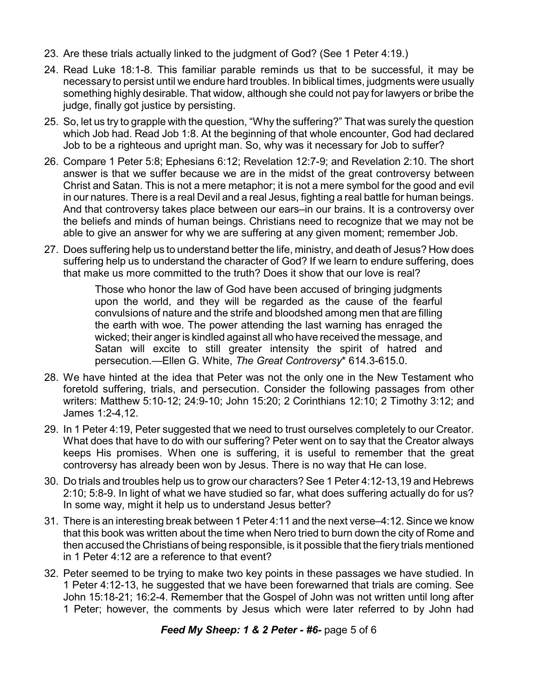- 23. Are these trials actually linked to the judgment of God? (See 1 Peter 4:19.)
- 24. Read Luke 18:1-8. This familiar parable reminds us that to be successful, it may be necessary to persist until we endure hard troubles. In biblical times, judgments were usually something highly desirable. That widow, although she could not pay for lawyers or bribe the judge, finally got justice by persisting.
- 25. So, let us try to grapple with the question, "Why the suffering?" That was surely the question which Job had. Read Job 1:8. At the beginning of that whole encounter, God had declared Job to be a righteous and upright man. So, why was it necessary for Job to suffer?
- 26. Compare 1 Peter 5:8; Ephesians 6:12; Revelation 12:7-9; and Revelation 2:10. The short answer is that we suffer because we are in the midst of the great controversy between Christ and Satan. This is not a mere metaphor; it is not a mere symbol for the good and evil in our natures. There is a real Devil and a real Jesus, fighting a real battle for human beings. And that controversy takes place between our ears–in our brains. It is a controversy over the beliefs and minds of human beings. Christians need to recognize that we may not be able to give an answer for why we are suffering at any given moment; remember Job.
- 27. Does suffering help us to understand better the life, ministry, and death of Jesus? How does suffering help us to understand the character of God? If we learn to endure suffering, does that make us more committed to the truth? Does it show that our love is real?

Those who honor the law of God have been accused of bringing judgments upon the world, and they will be regarded as the cause of the fearful convulsions of nature and the strife and bloodshed among men that are filling the earth with woe. The power attending the last warning has enraged the wicked; their anger is kindled against all who have received the message, and Satan will excite to still greater intensity the spirit of hatred and persecution.—Ellen G. White, *The Great Controversy*\* 614.3-615.0.

- 28. We have hinted at the idea that Peter was not the only one in the New Testament who foretold suffering, trials, and persecution. Consider the following passages from other writers: Matthew 5:10-12; 24:9-10; John 15:20; 2 Corinthians 12:10; 2 Timothy 3:12; and James 1:2-4,12.
- 29. In 1 Peter 4:19, Peter suggested that we need to trust ourselves completely to our Creator. What does that have to do with our suffering? Peter went on to say that the Creator always keeps His promises. When one is suffering, it is useful to remember that the great controversy has already been won by Jesus. There is no way that He can lose.
- 30. Do trials and troubles help us to grow our characters? See 1 Peter 4:12-13,19 and Hebrews 2:10; 5:8-9. In light of what we have studied so far, what does suffering actually do for us? In some way, might it help us to understand Jesus better?
- 31. There is an interesting break between 1 Peter 4:11 and the next verse–4:12. Since we know that this book was written about the time when Nero tried to burn down the city of Rome and then accused the Christians of being responsible, is it possible that the fiery trials mentioned in 1 Peter 4:12 are a reference to that event?
- 32. Peter seemed to be trying to make two key points in these passages we have studied. In 1 Peter 4:12-13, he suggested that we have been forewarned that trials are coming. See John 15:18-21; 16:2-4. Remember that the Gospel of John was not written until long after 1 Peter; however, the comments by Jesus which were later referred to by John had